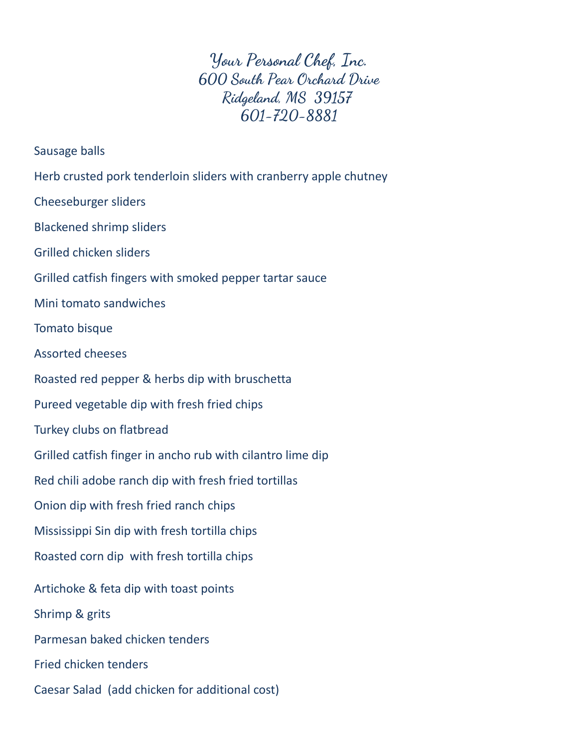**Your Personal Chef, Inc. 600 South Pear Orchard Drive Ridgeland, MS 39157 601-720-8881**

Sausage balls

Herb crusted pork tenderloin sliders with cranberry apple chutney

Cheeseburger sliders

Blackened shrimp sliders

Grilled chicken sliders

Grilled catfish fingers with smoked pepper tartar sauce

Mini tomato sandwiches

Tomato bisque

Assorted cheeses

Roasted red pepper & herbs dip with bruschetta

Pureed vegetable dip with fresh fried chips

Turkey clubs on flatbread

Grilled catfish finger in ancho rub with cilantro lime dip

Red chili adobe ranch dip with fresh fried tortillas

Onion dip with fresh fried ranch chips

Mississippi Sin dip with fresh tortilla chips

Roasted corn dip with fresh tortilla chips

Artichoke & feta dip with toast points

Shrimp & grits

Parmesan baked chicken tenders

Fried chicken tenders

Caesar Salad (add chicken for additional cost)